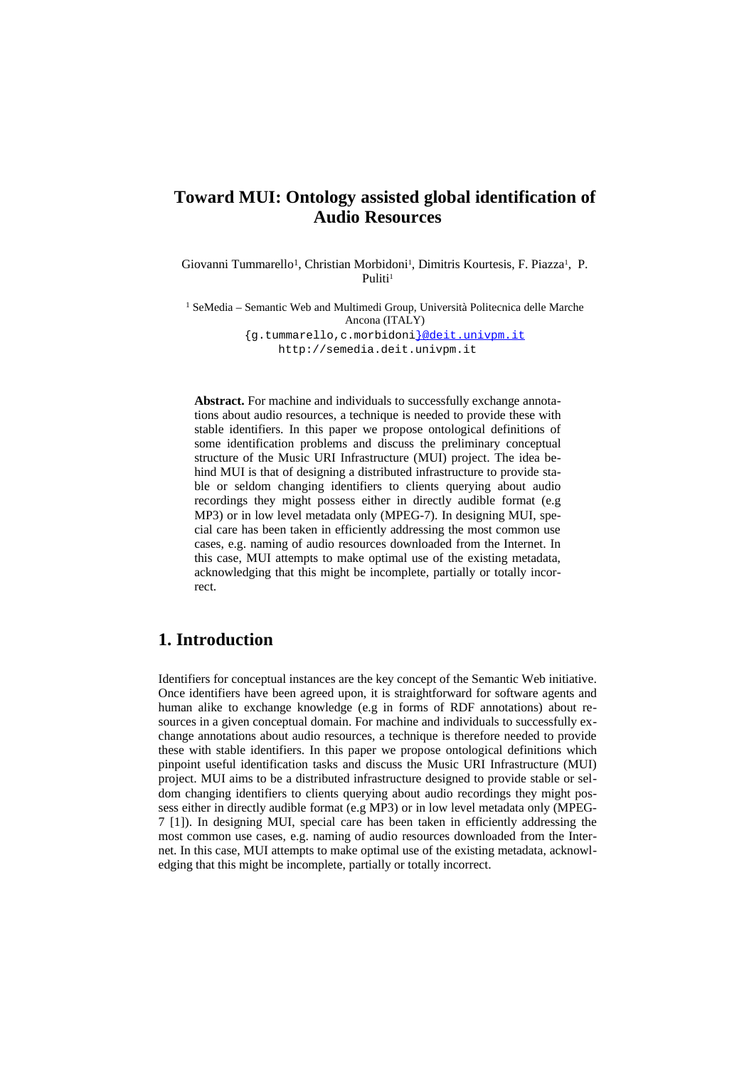## **Toward MUI: Ontology assisted global identification of Audio Resources**

Giovanni Tummarello<sup>1</sup>, Christian Morbidoni<sup>1</sup>, Dimitris Kourtesis, F. Piazza<sup>1</sup>, P. Puliti<sup>1</sup>

<sup>1</sup> SeMedia – Semantic Web and Multimedi Group, Università Politecnica delle Marche Ancona (ITALY)

{g.tummarello,c.morbidoni}@deit.univpm.it http://semedia.deit.univpm.it

**Abstract.** For machine and individuals to successfully exchange annotations about audio resources, a technique is needed to provide these with stable identifiers. In this paper we propose ontological definitions of some identification problems and discuss the preliminary conceptual structure of the Music URI Infrastructure (MUI) project. The idea behind MUI is that of designing a distributed infrastructure to provide stable or seldom changing identifiers to clients querying about audio recordings they might possess either in directly audible format (e.g MP3) or in low level metadata only (MPEG-7). In designing MUI, special care has been taken in efficiently addressing the most common use cases, e.g. naming of audio resources downloaded from the Internet. In this case, MUI attempts to make optimal use of the existing metadata, acknowledging that this might be incomplete, partially or totally incorrect.

### **1. Introduction**

Identifiers for conceptual instances are the key concept of the Semantic Web initiative. Once identifiers have been agreed upon, it is straightforward for software agents and human alike to exchange knowledge (e.g in forms of RDF annotations) about resources in a given conceptual domain. For machine and individuals to successfully exchange annotations about audio resources, a technique is therefore needed to provide these with stable identifiers. In this paper we propose ontological definitions which pinpoint useful identification tasks and discuss the Music URI Infrastructure (MUI) project. MUI aims to be a distributed infrastructure designed to provide stable or seldom changing identifiers to clients querying about audio recordings they might possess either in directly audible format (e.g MP3) or in low level metadata only (MPEG-7 [1]). In designing MUI, special care has been taken in efficiently addressing the most common use cases, e.g. naming of audio resources downloaded from the Internet. In this case, MUI attempts to make optimal use of the existing metadata, acknowledging that this might be incomplete, partially or totally incorrect.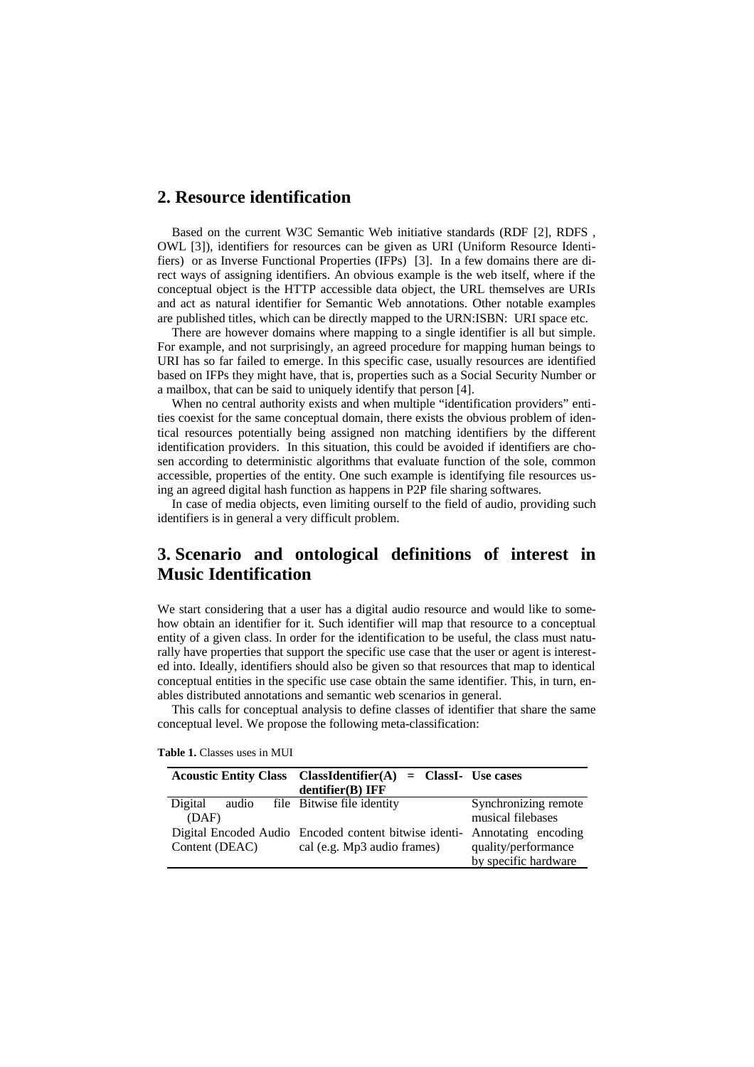### **2. Resource identification**

Based on the current W3C Semantic Web initiative standards (RDF [2], RDFS , OWL [3]), identifiers for resources can be given as URI (Uniform Resource Identifiers) or as Inverse Functional Properties (IFPs) [3]. In a few domains there are direct ways of assigning identifiers. An obvious example is the web itself, where if the conceptual object is the HTTP accessible data object, the URL themselves are URIs and act as natural identifier for Semantic Web annotations. Other notable examples are published titles, which can be directly mapped to the URN:ISBN: URI space etc.

There are however domains where mapping to a single identifier is all but simple. For example, and not surprisingly, an agreed procedure for mapping human beings to URI has so far failed to emerge. In this specific case, usually resources are identified based on IFPs they might have, that is, properties such as a Social Security Number or a mailbox, that can be said to uniquely identify that person [4].

When no central authority exists and when multiple "identification providers" entities coexist for the same conceptual domain, there exists the obvious problem of identical resources potentially being assigned non matching identifiers by the different identification providers. In this situation, this could be avoided if identifiers are chosen according to deterministic algorithms that evaluate function of the sole, common accessible, properties of the entity. One such example is identifying file resources using an agreed digital hash function as happens in P2P file sharing softwares.

In case of media objects, even limiting ourself to the field of audio, providing such identifiers is in general a very difficult problem.

# **3. Scenario and ontological definitions of interest in Music Identification**

We start considering that a user has a digital audio resource and would like to somehow obtain an identifier for it. Such identifier will map that resource to a conceptual entity of a given class. In order for the identification to be useful, the class must naturally have properties that support the specific use case that the user or agent is interested into. Ideally, identifiers should also be given so that resources that map to identical conceptual entities in the specific use case obtain the same identifier. This, in turn, enables distributed annotations and semantic web scenarios in general.

This calls for conceptual analysis to define classes of identifier that share the same conceptual level. We propose the following meta-classification:

|                |  |  | Acoustic Entity Class ClassIdentifier $(A)$ = ClassI- Use cases           |                      |
|----------------|--|--|---------------------------------------------------------------------------|----------------------|
|                |  |  | dentifier(B) IFF                                                          |                      |
| Digital        |  |  | audio file Bitwise file identity                                          | Synchronizing remote |
| (DAF)          |  |  |                                                                           | musical filebases    |
|                |  |  | Digital Encoded Audio Encoded content bitwise identi- Annotating encoding |                      |
| Content (DEAC) |  |  | cal (e.g. Mp3 audio frames)                                               | quality/performance  |
|                |  |  |                                                                           | by specific hardware |

**Table 1.** Classes uses in MUI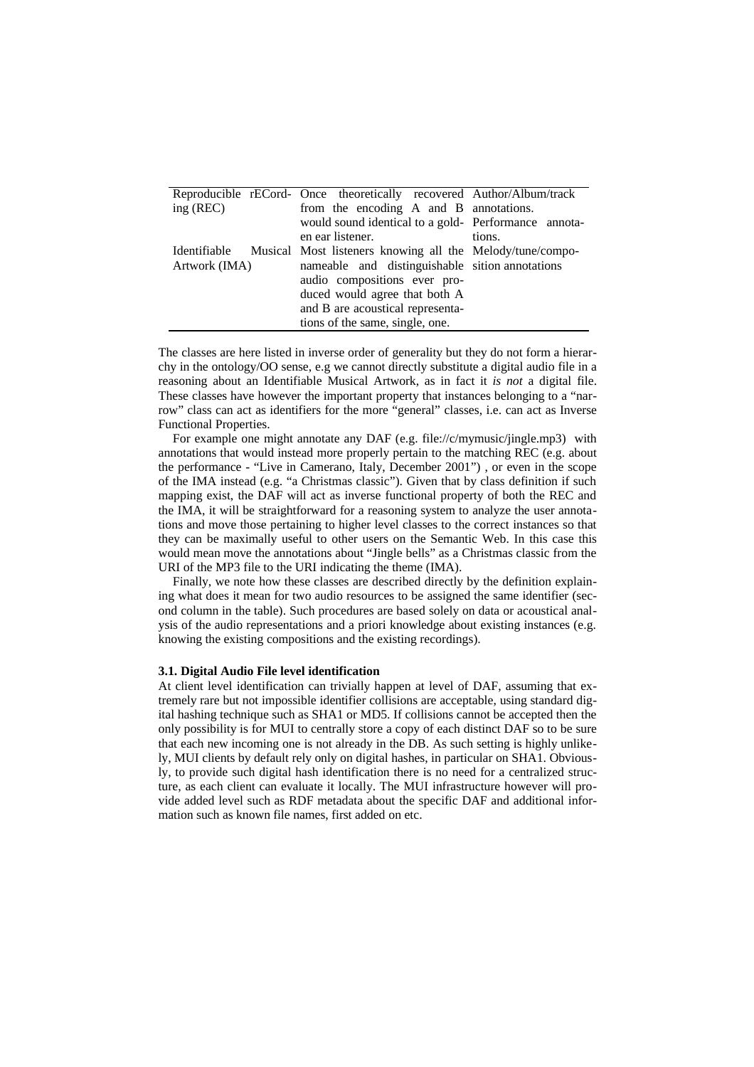|               | Reproducible rECord- Once theoretically recovered Author/Album/track   |        |
|---------------|------------------------------------------------------------------------|--------|
| ing (REC)     | from the encoding A and B annotations.                                 |        |
|               |                                                                        |        |
|               | would sound identical to a gold- Performance annota-                   |        |
|               | en ear listener.                                                       | tions. |
|               | Identifiable Musical Most listeners knowing all the Melody/tune/compo- |        |
| Artwork (IMA) | nameable and distinguishable sition annotations                        |        |
|               | audio compositions ever pro-                                           |        |
|               | duced would agree that both A                                          |        |
|               | and B are acoustical representa-                                       |        |
|               | tions of the same, single, one.                                        |        |

The classes are here listed in inverse order of generality but they do not form a hierarchy in the ontology/OO sense, e.g we cannot directly substitute a digital audio file in a reasoning about an Identifiable Musical Artwork, as in fact it *is not* a digital file. These classes have however the important property that instances belonging to a "narrow" class can act as identifiers for the more "general" classes, i.e. can act as Inverse Functional Properties.

For example one might annotate any DAF (e.g. file://c/mymusic/jingle.mp3) with annotations that would instead more properly pertain to the matching REC (e.g. about the performance - "Live in Camerano, Italy, December 2001") , or even in the scope of the IMA instead (e.g. "a Christmas classic"). Given that by class definition if such mapping exist, the DAF will act as inverse functional property of both the REC and the IMA, it will be straightforward for a reasoning system to analyze the user annotations and move those pertaining to higher level classes to the correct instances so that they can be maximally useful to other users on the Semantic Web. In this case this would mean move the annotations about "Jingle bells" as a Christmas classic from the URI of the MP3 file to the URI indicating the theme (IMA).

Finally, we note how these classes are described directly by the definition explaining what does it mean for two audio resources to be assigned the same identifier (second column in the table). Such procedures are based solely on data or acoustical analysis of the audio representations and a priori knowledge about existing instances (e.g. knowing the existing compositions and the existing recordings).

#### **3.1. Digital Audio File level identification**

At client level identification can trivially happen at level of DAF, assuming that extremely rare but not impossible identifier collisions are acceptable, using standard digital hashing technique such as SHA1 or MD5. If collisions cannot be accepted then the only possibility is for MUI to centrally store a copy of each distinct DAF so to be sure that each new incoming one is not already in the DB. As such setting is highly unlikely, MUI clients by default rely only on digital hashes, in particular on SHA1. Obviously, to provide such digital hash identification there is no need for a centralized structure, as each client can evaluate it locally. The MUI infrastructure however will provide added level such as RDF metadata about the specific DAF and additional information such as known file names, first added on etc.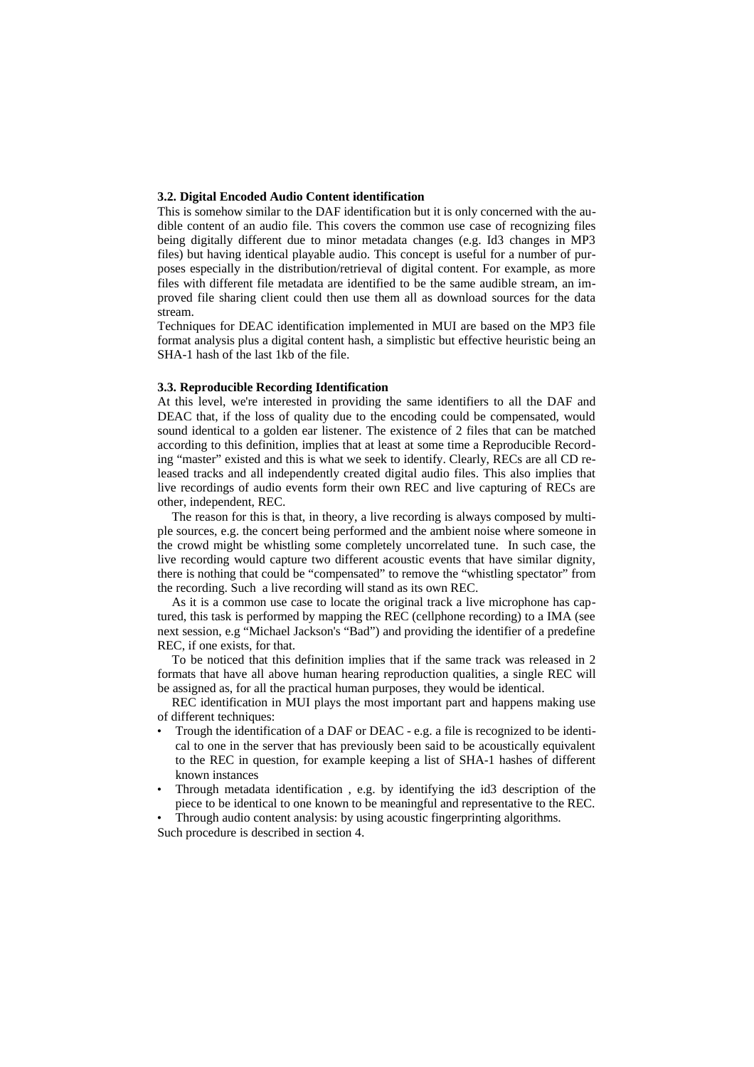#### **3.2. Digital Encoded Audio Content identification**

This is somehow similar to the DAF identification but it is only concerned with the audible content of an audio file. This covers the common use case of recognizing files being digitally different due to minor metadata changes (e.g. Id3 changes in MP3 files) but having identical playable audio. This concept is useful for a number of purposes especially in the distribution/retrieval of digital content. For example, as more files with different file metadata are identified to be the same audible stream, an improved file sharing client could then use them all as download sources for the data stream.

Techniques for DEAC identification implemented in MUI are based on the MP3 file format analysis plus a digital content hash, a simplistic but effective heuristic being an SHA-1 hash of the last 1kb of the file.

#### **3.3. Reproducible Recording Identification**

At this level, we're interested in providing the same identifiers to all the DAF and DEAC that, if the loss of quality due to the encoding could be compensated, would sound identical to a golden ear listener. The existence of 2 files that can be matched according to this definition, implies that at least at some time a Reproducible Recording "master" existed and this is what we seek to identify. Clearly, RECs are all CD released tracks and all independently created digital audio files. This also implies that live recordings of audio events form their own REC and live capturing of RECs are other, independent, REC.

The reason for this is that, in theory, a live recording is always composed by multiple sources, e.g. the concert being performed and the ambient noise where someone in the crowd might be whistling some completely uncorrelated tune. In such case, the live recording would capture two different acoustic events that have similar dignity, there is nothing that could be "compensated" to remove the "whistling spectator" from the recording. Such a live recording will stand as its own REC.

As it is a common use case to locate the original track a live microphone has captured, this task is performed by mapping the REC (cellphone recording) to a IMA (see next session, e.g "Michael Jackson's "Bad") and providing the identifier of a predefine REC, if one exists, for that.

To be noticed that this definition implies that if the same track was released in 2 formats that have all above human hearing reproduction qualities, a single REC will be assigned as, for all the practical human purposes, they would be identical.

REC identification in MUI plays the most important part and happens making use of different techniques:

- Trough the identification of a DAF or DEAC e.g. a file is recognized to be identical to one in the server that has previously been said to be acoustically equivalent to the REC in question, for example keeping a list of SHA-1 hashes of different known instances
- Through metadata identification , e.g. by identifying the id3 description of the piece to be identical to one known to be meaningful and representative to the REC.

• Through audio content analysis: by using acoustic fingerprinting algorithms. Such procedure is described in section 4.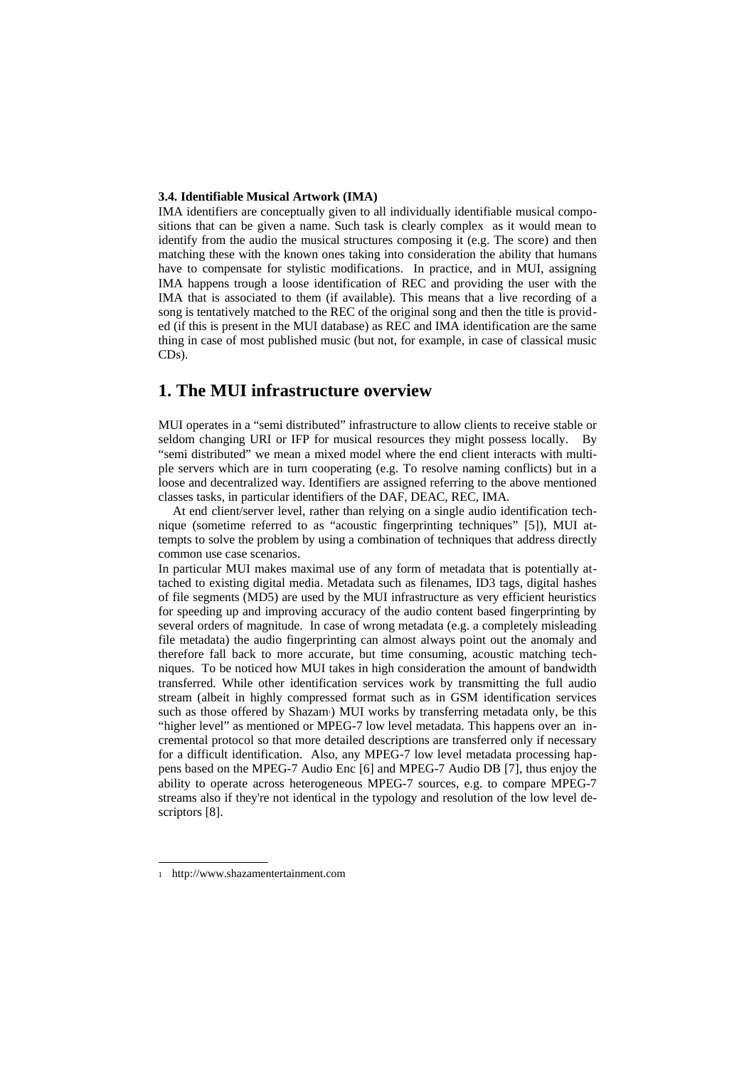#### **3.4. Identifiable Musical Artwork (IMA)**

IMA identifiers are conceptually given to all individually identifiable musical compositions that can be given a name. Such task is clearly complex as it would mean to identify from the audio the musical structures composing it (e.g. The score) and then matching these with the known ones taking into consideration the ability that humans have to compensate for stylistic modifications. In practice, and in MUI, assigning IMA happens trough a loose identification of REC and providing the user with the IMA that is associated to them (if available). This means that a live recording of a song is tentatively matched to the REC of the original song and then the title is provided (if this is present in the MUI database) as REC and IMA identification are the same thing in case of most published music (but not, for example, in case of classical music CDs).

### **1. The MUI infrastructure overview**

MUI operates in a "semi distributed" infrastructure to allow clients to receive stable or seldom changing URI or IFP for musical resources they might possess locally. By "semi distributed" we mean a mixed model where the end client interacts with multiple servers which are in turn cooperating (e.g. To resolve naming conflicts) but in a loose and decentralized way. Identifiers are assigned referring to the above mentioned classes tasks, in particular identifiers of the DAF, DEAC, REC, IMA.

At end client/server level, rather than relying on a single audio identification technique (sometime referred to as "acoustic fingerprinting techniques" [5]), MUI attempts to solve the problem by using a combination of techniques that address directly common use case scenarios.

In particular MUI makes maximal use of any form of metadata that is potentially attached to existing digital media. Metadata such as filenames, ID3 tags, digital hashes of file segments (MD5) are used by the MUI infrastructure as very efficient heuristics for speeding up and improving accuracy of the audio content based fingerprinting by several orders of magnitude. In case of wrong metadata (e.g. a completely misleading file metadata) the audio fingerprinting can almost always point out the anomaly and therefore fall back to more accurate, but time consuming, acoustic matching techniques. To be noticed how MUI takes in high consideration the amount of bandwidth transferred. While other identification services work by transmitting the full audio stream (albeit in highly compressed format such as in GSM identification services such as those offered by Shazam<sup>[1](#page-4-0)</sup>) MUI works by transferring metadata only, be this "higher level" as mentioned or MPEG-7 low level metadata. This happens over an incremental protocol so that more detailed descriptions are transferred only if necessary for a difficult identification. Also, any MPEG-7 low level metadata processing happens based on the MPEG-7 Audio Enc [6] and MPEG-7 Audio DB [7], thus enjoy the ability to operate across heterogeneous MPEG-7 sources, e.g. to compare MPEG-7 streams also if they're not identical in the typology and resolution of the low level descriptors [8].

<span id="page-4-0"></span><sup>1</sup> http://www.shazamentertainment.com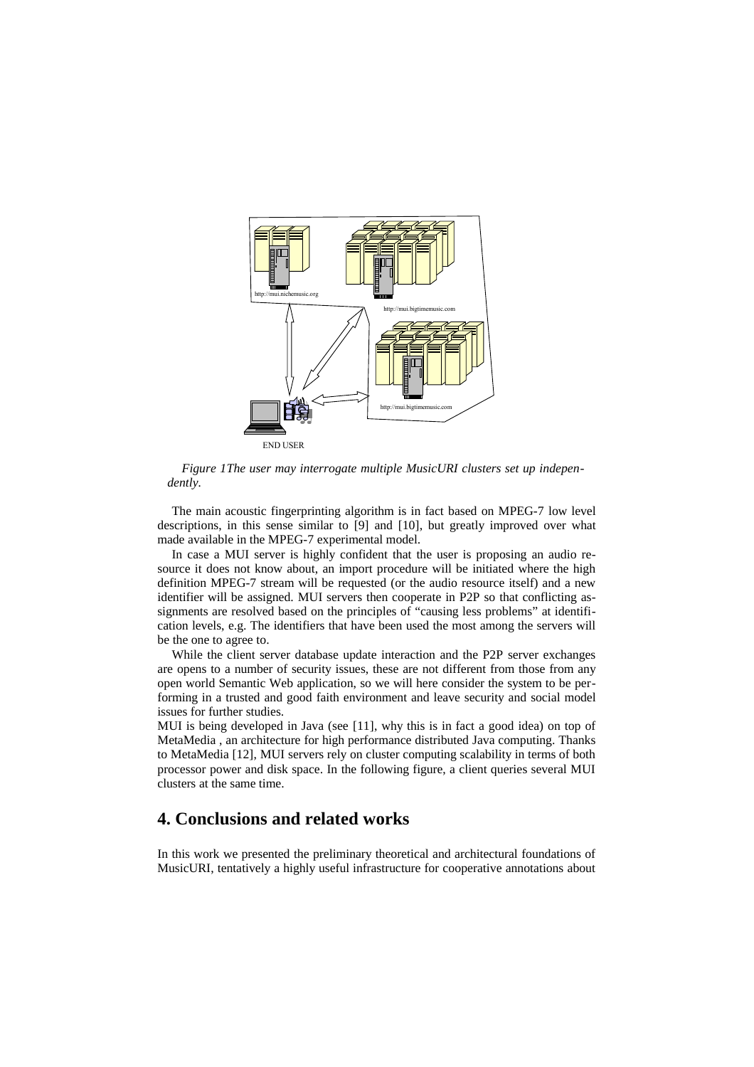

*Figure 1The user may interrogate multiple MusicURI clusters set up independently.*

The main acoustic fingerprinting algorithm is in fact based on MPEG-7 low level descriptions, in this sense similar to [9] and [10], but greatly improved over what made available in the MPEG-7 experimental model.

In case a MUI server is highly confident that the user is proposing an audio resource it does not know about, an import procedure will be initiated where the high definition MPEG-7 stream will be requested (or the audio resource itself) and a new identifier will be assigned. MUI servers then cooperate in P2P so that conflicting assignments are resolved based on the principles of "causing less problems" at identification levels, e.g. The identifiers that have been used the most among the servers will be the one to agree to.

While the client server database update interaction and the P2P server exchanges are opens to a number of security issues, these are not different from those from any open world Semantic Web application, so we will here consider the system to be performing in a trusted and good faith environment and leave security and social model issues for further studies.

MUI is being developed in Java (see [11], why this is in fact a good idea) on top of MetaMedia , an architecture for high performance distributed Java computing. Thanks to MetaMedia [12], MUI servers rely on cluster computing scalability in terms of both processor power and disk space. In the following figure, a client queries several MUI clusters at the same time.

### **4. Conclusions and related works**

In this work we presented the preliminary theoretical and architectural foundations of MusicURI, tentatively a highly useful infrastructure for cooperative annotations about